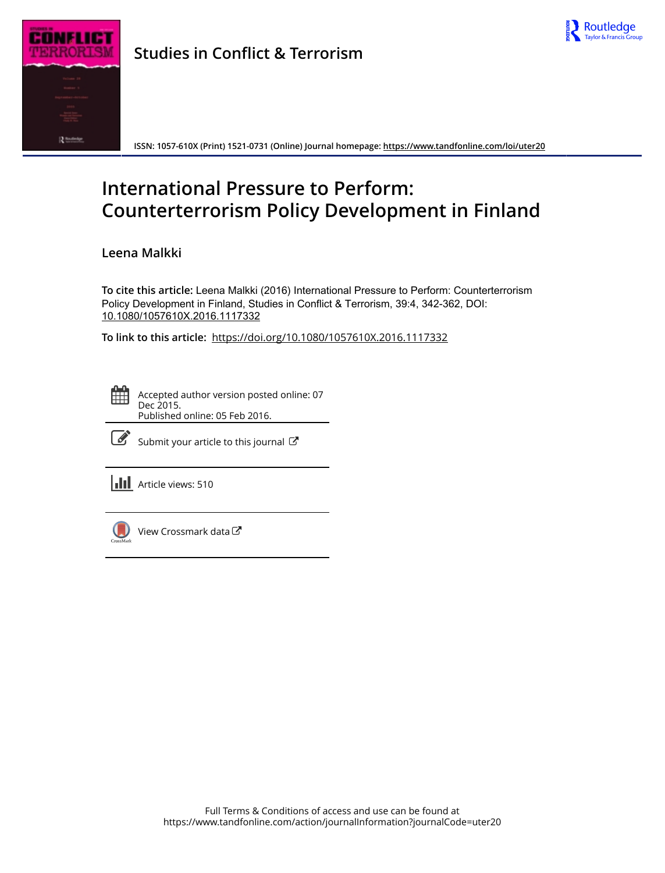



**Studies in Conflict & Terrorism**

**ISSN: 1057-610X (Print) 1521-0731 (Online) Journal homepage: <https://www.tandfonline.com/loi/uter20>**

# **International Pressure to Perform: Counterterrorism Policy Development in Finland**

**Leena Malkki**

**To cite this article:** Leena Malkki (2016) International Pressure to Perform: Counterterrorism Policy Development in Finland, Studies in Conflict & Terrorism, 39:4, 342-362, DOI: [10.1080/1057610X.2016.1117332](https://www.tandfonline.com/action/showCitFormats?doi=10.1080/1057610X.2016.1117332)

**To link to this article:** <https://doi.org/10.1080/1057610X.2016.1117332>



Accepted author version posted online: 07 Dec 2015. Published online: 05 Feb 2016.



 $\overrightarrow{S}$  [Submit your article to this journal](https://www.tandfonline.com/action/authorSubmission?journalCode=uter20&show=instructions)  $\overrightarrow{S}$ 

**III** Article views: 510



[View Crossmark data](http://crossmark.crossref.org/dialog/?doi=10.1080/1057610X.2016.1117332&domain=pdf&date_stamp=2015-12-07) $\mathbb{C}$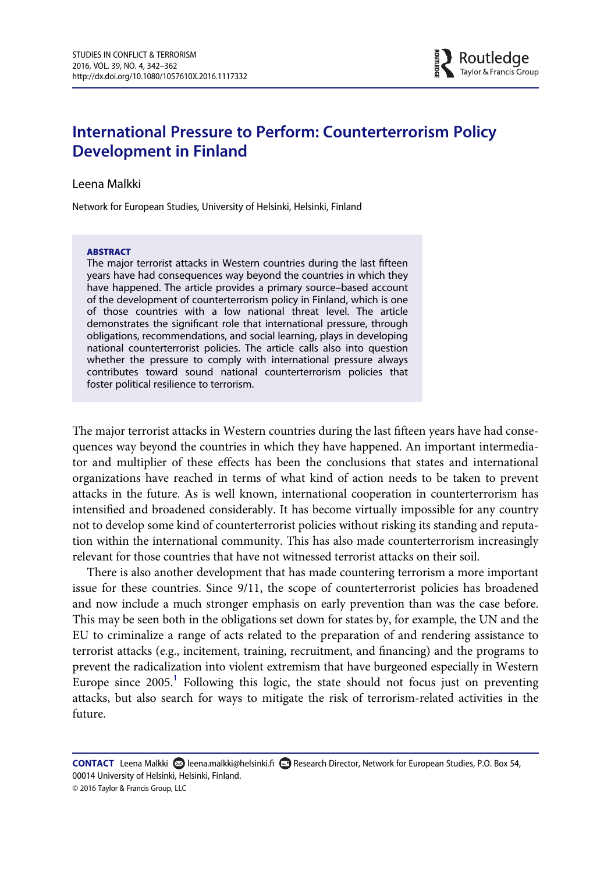# International Pressure to Perform: Counterterrorism Policy Development in Finland

Leena Malkki

Network for European Studies, University of Helsinki, Helsinki, Finland

#### ABSTRACT

The major terrorist attacks in Western countries during the last fifteen years have had consequences way beyond the countries in which they have happened. The article provides a primary source–based account of the development of counterterrorism policy in Finland, which is one of those countries with a low national threat level. The article demonstrates the significant role that international pressure, through obligations, recommendations, and social learning, plays in developing national counterterrorist policies. The article calls also into question whether the pressure to comply with international pressure always contributes toward sound national counterterrorism policies that foster political resilience to terrorism.

The major terrorist attacks in Western countries during the last fifteen years have had consequences way beyond the countries in which they have happened. An important intermediator and multiplier of these effects has been the conclusions that states and international organizations have reached in terms of what kind of action needs to be taken to prevent attacks in the future. As is well known, international cooperation in counterterrorism has intensified and broadened considerably. It has become virtually impossible for any country not to develop some kind of counterterrorist policies without risking its standing and reputation within the international community. This has also made counterterrorism increasingly relevant for those countries that have not witnessed terrorist attacks on their soil.

There is also another development that has made countering terrorism a more important issue for these countries. Since 9/11, the scope of counterterrorist policies has broadened and now include a much stronger emphasis on early prevention than was the case before. This may be seen both in the obligations set down for states by, for example, the UN and the EU to criminalize a range of acts related to the preparation of and rendering assistance to terrorist attacks (e.g., incitement, training, recruitment, and financing) and the programs to prevent the radicalization into violent extremism that have burgeoned especially in Western Europe since  $2005<sup>1</sup>$  $2005<sup>1</sup>$  $2005<sup>1</sup>$ . Following this logic, the state should not focus just on preventing attacks, but also search for ways to mitigate the risk of terrorism-related activities in the future.

CONTACT Leena Malkki **@** leena.malkki@helsinki.fi **@** Research Director, Network for European Studies, P.O. Box 54, 00014 University of Helsinki, Helsinki, Finland. © 2016 Taylor & Francis Group, LLC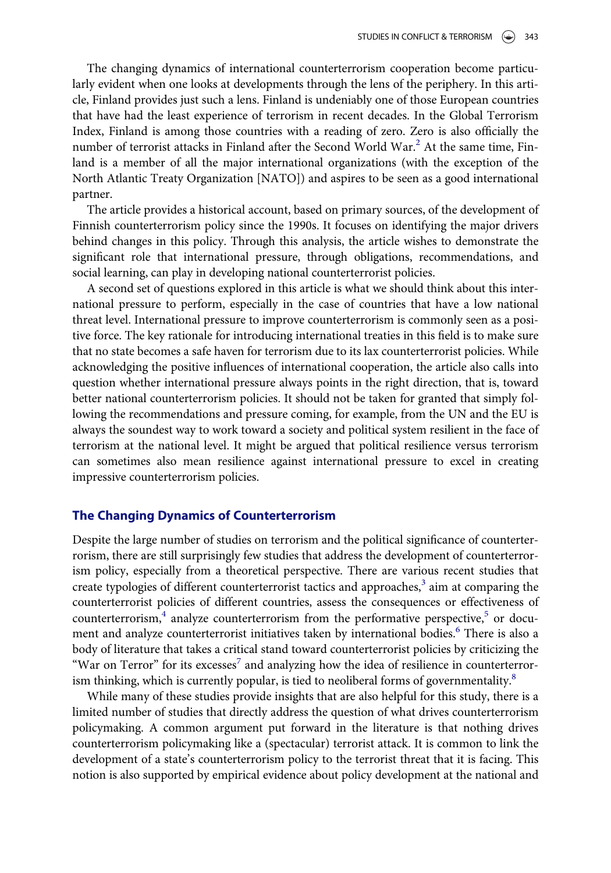The changing dynamics of international counterterrorism cooperation become particularly evident when one looks at developments through the lens of the periphery. In this article, Finland provides just such a lens. Finland is undeniably one of those European countries that have had the least experience of terrorism in recent decades. In the Global Terrorism Index, Finland is among those countries with a reading of zero. Zero is also officially the number of terrorist attacks in Finland after the Second World War.<sup>[2](#page-17-0)</sup> At the same time, Finland is a member of all the major international organizations (with the exception of the North Atlantic Treaty Organization [NATO]) and aspires to be seen as a good international partner.

The article provides a historical account, based on primary sources, of the development of Finnish counterterrorism policy since the 1990s. It focuses on identifying the major drivers behind changes in this policy. Through this analysis, the article wishes to demonstrate the significant role that international pressure, through obligations, recommendations, and social learning, can play in developing national counterterrorist policies.

A second set of questions explored in this article is what we should think about this international pressure to perform, especially in the case of countries that have a low national threat level. International pressure to improve counterterrorism is commonly seen as a positive force. The key rationale for introducing international treaties in this field is to make sure that no state becomes a safe haven for terrorism due to its lax counterterrorist policies. While acknowledging the positive influences of international cooperation, the article also calls into question whether international pressure always points in the right direction, that is, toward better national counterterrorism policies. It should not be taken for granted that simply following the recommendations and pressure coming, for example, from the UN and the EU is always the soundest way to work toward a society and political system resilient in the face of terrorism at the national level. It might be argued that political resilience versus terrorism can sometimes also mean resilience against international pressure to excel in creating impressive counterterrorism policies.

### The Changing Dynamics of Counterterrorism

Despite the large number of studies on terrorism and the political significance of counterterrorism, there are still surprisingly few studies that address the development of counterterrorism policy, especially from a theoretical perspective. There are various recent studies that create typologies of different counterterrorist tactics and approaches,<sup>[3](#page-17-1)</sup> aim at comparing the counterterrorist policies of different countries, assess the consequences or effectiveness of counterterrorism,<sup>[4](#page-17-2)</sup> analyze counterterrorism from the performative perspective,<sup>[5](#page-17-3)</sup> or docu-ment and analyze counterterrorist initiatives taken by international bodies.<sup>[6](#page-17-4)</sup> There is also a body of literature that takes a critical stand toward counterterrorist policies by criticizing the "War on Terror" for its excesses<sup>[7](#page-17-5)</sup> and analyzing how the idea of resilience in counterterror-ism thinking, which is currently popular, is tied to neoliberal forms of governmentality.<sup>[8](#page-17-6)</sup>

While many of these studies provide insights that are also helpful for this study, there is a limited number of studies that directly address the question of what drives counterterrorism policymaking. A common argument put forward in the literature is that nothing drives counterterrorism policymaking like a (spectacular) terrorist attack. It is common to link the development of a state's counterterrorism policy to the terrorist threat that it is facing. This notion is also supported by empirical evidence about policy development at the national and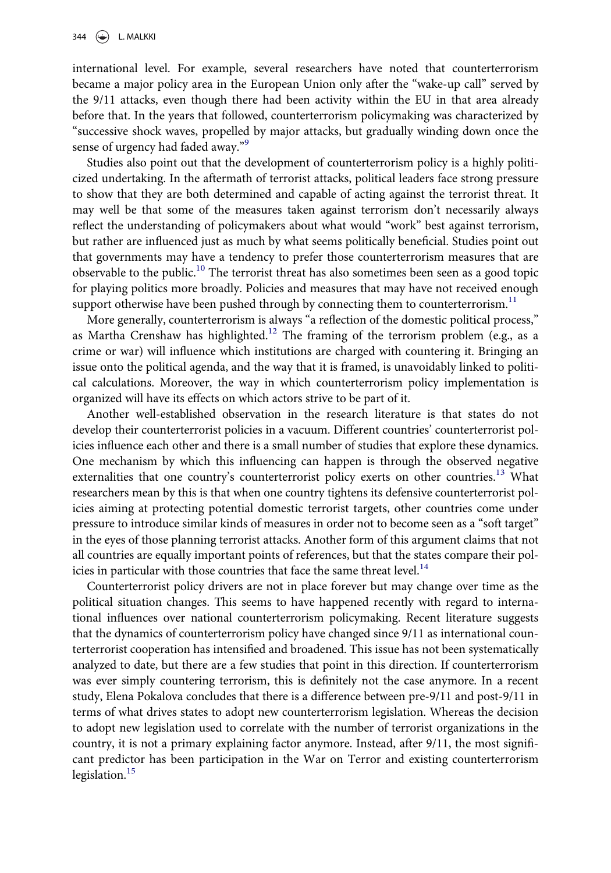international level. For example, several researchers have noted that counterterrorism became a major policy area in the European Union only after the "wake-up call" served by the 9/11 attacks, even though there had been activity within the EU in that area already before that. In the years that followed, counterterrorism policymaking was characterized by "successive shock waves, propelled by major attacks, but gradually winding down once the sense of urgency had faded away."<sup>[9](#page-17-7)</sup>

Studies also point out that the development of counterterrorism policy is a highly politicized undertaking. In the aftermath of terrorist attacks, political leaders face strong pressure to show that they are both determined and capable of acting against the terrorist threat. It may well be that some of the measures taken against terrorism don't necessarily always reflect the understanding of policymakers about what would "work" best against terrorism, but rather are influenced just as much by what seems politically beneficial. Studies point out that governments may have a tendency to prefer those counterterrorism measures that are observable to the public.<sup>[10](#page-17-8)</sup> The terrorist threat has also sometimes been seen as a good topic for playing politics more broadly. Policies and measures that may have not received enough support otherwise have been pushed through by connecting them to counterterrorism.<sup>[11](#page-17-9)</sup>

More generally, counterterrorism is always "a reflection of the domestic political process," as Martha Crenshaw has highlighted.<sup>[12](#page-17-10)</sup> The framing of the terrorism problem (e.g., as a crime or war) will influence which institutions are charged with countering it. Bringing an issue onto the political agenda, and the way that it is framed, is unavoidably linked to political calculations. Moreover, the way in which counterterrorism policy implementation is organized will have its effects on which actors strive to be part of it.

Another well-established observation in the research literature is that states do not develop their counterterrorist policies in a vacuum. Different countries' counterterrorist policies influence each other and there is a small number of studies that explore these dynamics. One mechanism by which this influencing can happen is through the observed negative externalities that one country's counterterrorist policy exerts on other countries.<sup>[13](#page-17-11)</sup> What researchers mean by this is that when one country tightens its defensive counterterrorist policies aiming at protecting potential domestic terrorist targets, other countries come under pressure to introduce similar kinds of measures in order not to become seen as a "soft target" in the eyes of those planning terrorist attacks. Another form of this argument claims that not all countries are equally important points of references, but that the states compare their policies in particular with those countries that face the same threat level.<sup>14</sup>

Counterterrorist policy drivers are not in place forever but may change over time as the political situation changes. This seems to have happened recently with regard to international influences over national counterterrorism policymaking. Recent literature suggests that the dynamics of counterterrorism policy have changed since 9/11 as international counterterrorist cooperation has intensified and broadened. This issue has not been systematically analyzed to date, but there are a few studies that point in this direction. If counterterrorism was ever simply countering terrorism, this is definitely not the case anymore. In a recent study, Elena Pokalova concludes that there is a difference between pre-9/11 and post-9/11 in terms of what drives states to adopt new counterterrorism legislation. Whereas the decision to adopt new legislation used to correlate with the number of terrorist organizations in the country, it is not a primary explaining factor anymore. Instead, after 9/11, the most significant predictor has been participation in the War on Terror and existing counterterrorism legislation.<sup>[15](#page-17-13)</sup>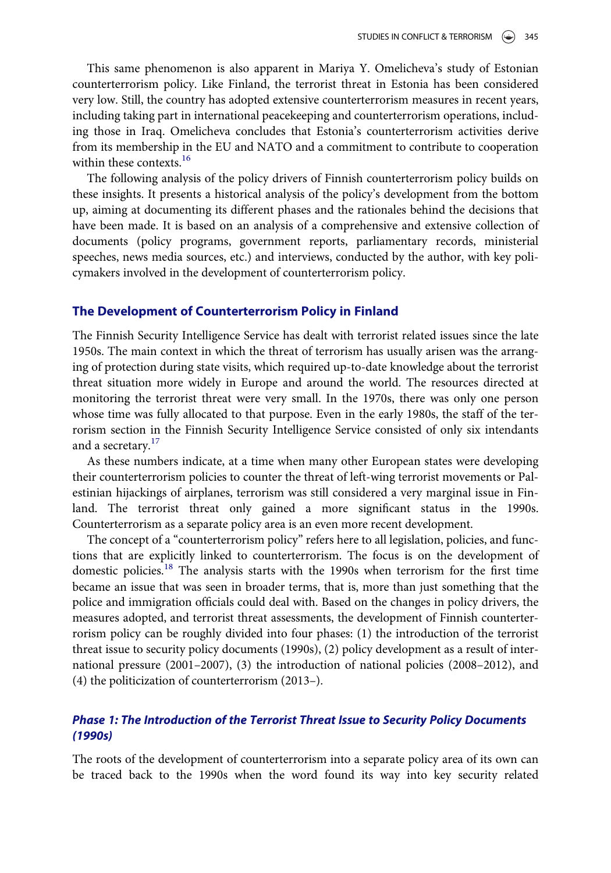This same phenomenon is also apparent in Mariya Y. Omelicheva's study of Estonian counterterrorism policy. Like Finland, the terrorist threat in Estonia has been considered very low. Still, the country has adopted extensive counterterrorism measures in recent years, including taking part in international peacekeeping and counterterrorism operations, including those in Iraq. Omelicheva concludes that Estonia's counterterrorism activities derive from its membership in the EU and NATO and a commitment to contribute to cooperation within these contexts.<sup>[16](#page-17-14)</sup>

The following analysis of the policy drivers of Finnish counterterrorism policy builds on these insights. It presents a historical analysis of the policy's development from the bottom up, aiming at documenting its different phases and the rationales behind the decisions that have been made. It is based on an analysis of a comprehensive and extensive collection of documents (policy programs, government reports, parliamentary records, ministerial speeches, news media sources, etc.) and interviews, conducted by the author, with key policymakers involved in the development of counterterrorism policy.

# The Development of Counterterrorism Policy in Finland

The Finnish Security Intelligence Service has dealt with terrorist related issues since the late 1950s. The main context in which the threat of terrorism has usually arisen was the arranging of protection during state visits, which required up-to-date knowledge about the terrorist threat situation more widely in Europe and around the world. The resources directed at monitoring the terrorist threat were very small. In the 1970s, there was only one person whose time was fully allocated to that purpose. Even in the early 1980s, the staff of the terrorism section in the Finnish Security Intelligence Service consisted of only six intendants and a secretary.<sup>[17](#page-18-0)</sup>

As these numbers indicate, at a time when many other European states were developing their counterterrorism policies to counter the threat of left-wing terrorist movements or Palestinian hijackings of airplanes, terrorism was still considered a very marginal issue in Finland. The terrorist threat only gained a more significant status in the 1990s. Counterterrorism as a separate policy area is an even more recent development.

The concept of a "counterterrorism policy" refers here to all legislation, policies, and functions that are explicitly linked to counterterrorism. The focus is on the development of domestic policies.<sup>[18](#page-18-1)</sup> The analysis starts with the 1990s when terrorism for the first time became an issue that was seen in broader terms, that is, more than just something that the police and immigration officials could deal with. Based on the changes in policy drivers, the measures adopted, and terrorist threat assessments, the development of Finnish counterterrorism policy can be roughly divided into four phases: (1) the introduction of the terrorist threat issue to security policy documents (1990s), (2) policy development as a result of international pressure (2001–2007), (3) the introduction of national policies (2008–2012), and (4) the politicization of counterterrorism (2013–).

# Phase 1: The Introduction of the Terrorist Threat Issue to Security Policy Documents (1990s)

The roots of the development of counterterrorism into a separate policy area of its own can be traced back to the 1990s when the word found its way into key security related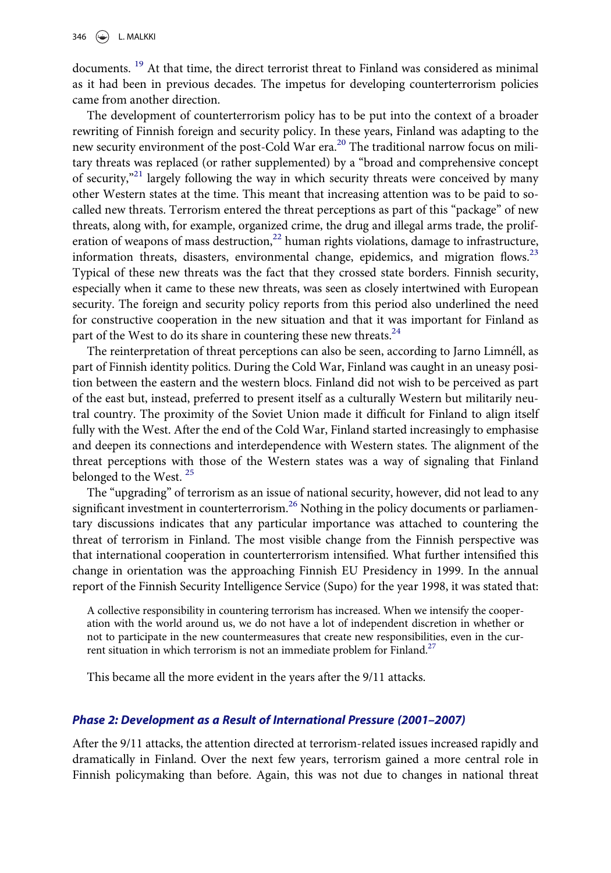documents. <sup>[19](#page-18-2)</sup> At that time, the direct terrorist threat to Finland was considered as minimal as it had been in previous decades. The impetus for developing counterterrorism policies came from another direction.

The development of counterterrorism policy has to be put into the context of a broader rewriting of Finnish foreign and security policy. In these years, Finland was adapting to the new security environment of the post-Cold War era.<sup>[20](#page-18-3)</sup> The traditional narrow focus on military threats was replaced (or rather supplemented) by a "broad and comprehensive concept of security,"<sup>[21](#page-18-4)</sup> largely following the way in which security threats were conceived by many other Western states at the time. This meant that increasing attention was to be paid to socalled new threats. Terrorism entered the threat perceptions as part of this "package" of new threats, along with, for example, organized crime, the drug and illegal arms trade, the prolif-eration of weapons of mass destruction,<sup>[22](#page-18-5)</sup> human rights violations, damage to infrastructure, information threats, disasters, environmental change, epidemics, and migration flows. $23$ Typical of these new threats was the fact that they crossed state borders. Finnish security, especially when it came to these new threats, was seen as closely intertwined with European security. The foreign and security policy reports from this period also underlined the need for constructive cooperation in the new situation and that it was important for Finland as part of the West to do its share in countering these new threats.  $24$ 

The reinterpretation of threat perceptions can also be seen, according to Jarno Limnell, as part of Finnish identity politics. During the Cold War, Finland was caught in an uneasy position between the eastern and the western blocs. Finland did not wish to be perceived as part of the east but, instead, preferred to present itself as a culturally Western but militarily neutral country. The proximity of the Soviet Union made it difficult for Finland to align itself fully with the West. After the end of the Cold War, Finland started increasingly to emphasise and deepen its connections and interdependence with Western states. The alignment of the threat perceptions with those of the Western states was a way of signaling that Finland belonged to the West. [25](#page-18-8)

The "upgrading" of terrorism as an issue of national security, however, did not lead to any significant investment in counterterrorism.<sup>[26](#page-18-9)</sup> Nothing in the policy documents or parliamentary discussions indicates that any particular importance was attached to countering the threat of terrorism in Finland. The most visible change from the Finnish perspective was that international cooperation in counterterrorism intensified. What further intensified this change in orientation was the approaching Finnish EU Presidency in 1999. In the annual report of the Finnish Security Intelligence Service (Supo) for the year 1998, it was stated that:

A collective responsibility in countering terrorism has increased. When we intensify the cooperation with the world around us, we do not have a lot of independent discretion in whether or not to participate in the new countermeasures that create new responsibilities, even in the cur-rent situation in which terrorism is not an immediate problem for Finland.<sup>[27](#page-18-10)</sup>

This became all the more evident in the years after the 9/11 attacks.

# Phase 2: Development as a Result of International Pressure (2001–2007)

After the 9/11 attacks, the attention directed at terrorism-related issues increased rapidly and dramatically in Finland. Over the next few years, terrorism gained a more central role in Finnish policymaking than before. Again, this was not due to changes in national threat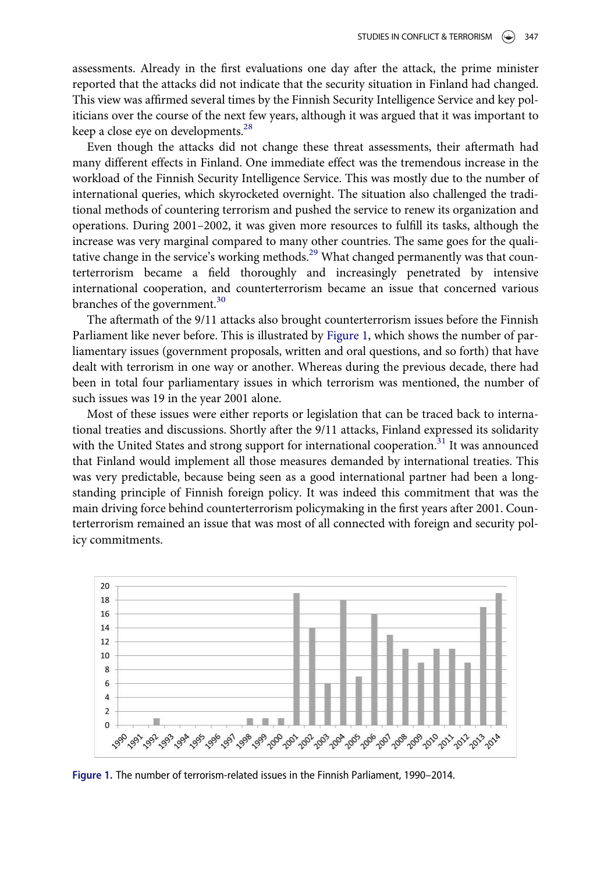assessments. Already in the first evaluations one day after the attack, the prime minister reported that the attacks did not indicate that the security situation in Finland had changed. This view was affirmed several times by the Finnish Security Intelligence Service and key politicians over the course of the next few years, although it was argued that it was important to keep a close eye on developments.<sup>[28](#page-18-11)</sup>

Even though the attacks did not change these threat assessments, their aftermath had many different effects in Finland. One immediate effect was the tremendous increase in the workload of the Finnish Security Intelligence Service. This was mostly due to the number of international queries, which skyrocketed overnight. The situation also challenged the traditional methods of countering terrorism and pushed the service to renew its organization and operations. During 2001–2002, it was given more resources to fulfill its tasks, although the increase was very marginal compared to many other countries. The same goes for the quali-tative change in the service's working methods.<sup>[29](#page-18-12)</sup> What changed permanently was that counterterrorism became a field thoroughly and increasingly penetrated by intensive international cooperation, and counterterrorism became an issue that concerned various branches of the government.<sup>[30](#page-18-13)</sup>

The aftermath of the 9/11 attacks also brought counterterrorism issues before the Finnish Parliament like never before. This is illustrated by [Figure 1,](#page-6-0) which shows the number of parliamentary issues (government proposals, written and oral questions, and so forth) that have dealt with terrorism in one way or another. Whereas during the previous decade, there had been in total four parliamentary issues in which terrorism was mentioned, the number of such issues was 19 in the year 2001 alone.

Most of these issues were either reports or legislation that can be traced back to international treaties and discussions. Shortly after the 9/11 attacks, Finland expressed its solidarity with the United States and strong support for international cooperation.<sup>[31](#page-18-14)</sup> It was announced that Finland would implement all those measures demanded by international treaties. This was very predictable, because being seen as a good international partner had been a longstanding principle of Finnish foreign policy. It was indeed this commitment that was the main driving force behind counterterrorism policymaking in the first years after 2001. Counterterrorism remained an issue that was most of all connected with foreign and security policy commitments.

<span id="page-6-0"></span>

Figure 1. The number of terrorism-related issues in the Finnish Parliament, 1990–2014.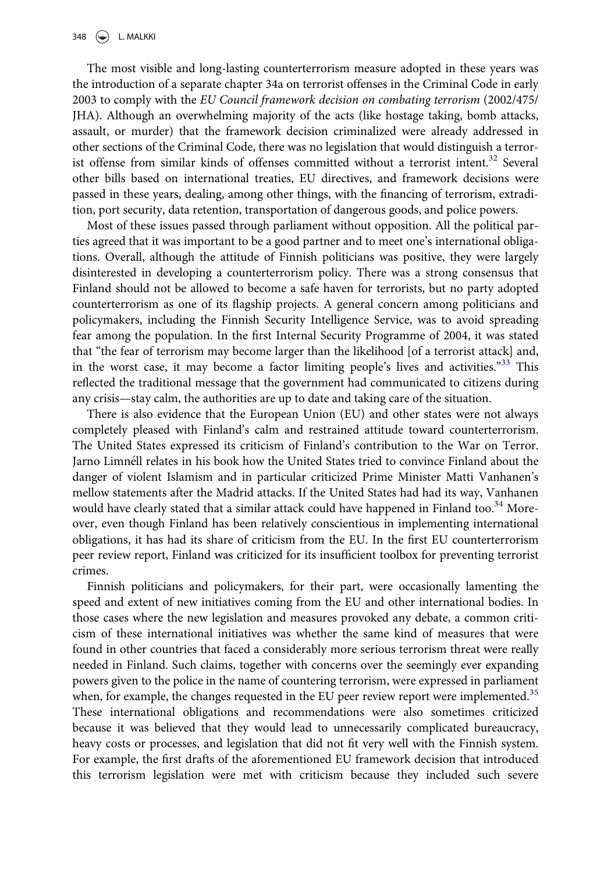The most visible and long-lasting counterterrorism measure adopted in these years was the introduction of a separate chapter 34a on terrorist offenses in the Criminal Code in early 2003 to comply with the EU Council framework decision on combating terrorism (2002/475/ JHA). Although an overwhelming majority of the acts (like hostage taking, bomb attacks, assault, or murder) that the framework decision criminalized were already addressed in other sections of the Criminal Code, there was no legislation that would distinguish a terrorist offense from similar kinds of offenses committed without a terrorist intent.<sup>32</sup> Several other bills based on international treaties, EU directives, and framework decisions were passed in these years, dealing, among other things, with the financing of terrorism, extradition, port security, data retention, transportation of dangerous goods, and police powers.

Most of these issues passed through parliament without opposition. All the political parties agreed that it was important to be a good partner and to meet one's international obligations. Overall, although the attitude of Finnish politicians was positive, they were largely disinterested in developing a counterterrorism policy. There was a strong consensus that Finland should not be allowed to become a safe haven for terrorists, but no party adopted counterterrorism as one of its flagship projects. A general concern among politicians and policymakers, including the Finnish Security Intelligence Service, was to avoid spreading fear among the population. In the first Internal Security Programme of 2004, it was stated that "the fear of terrorism may become larger than the likelihood [of a terrorist attack] and, in the worst case, it may become a factor limiting people's lives and activities."<sup>[33](#page-18-16)</sup> This reflected the traditional message that the government had communicated to citizens during any crisis—stay calm, the authorities are up to date and taking care of the situation.

There is also evidence that the European Union (EU) and other states were not always completely pleased with Finland's calm and restrained attitude toward counterterrorism. The United States expressed its criticism of Finland's contribution to the War on Terror. Jarno Limnell relates in his book how the United States tried to convince Finland about the danger of violent Islamism and in particular criticized Prime Minister Matti Vanhanen's mellow statements after the Madrid attacks. If the United States had had its way, Vanhanen would have clearly stated that a similar attack could have happened in Finland too.<sup>[34](#page-18-17)</sup> Moreover, even though Finland has been relatively conscientious in implementing international obligations, it has had its share of criticism from the EU. In the first EU counterterrorism peer review report, Finland was criticized for its insufficient toolbox for preventing terrorist crimes.

Finnish politicians and policymakers, for their part, were occasionally lamenting the speed and extent of new initiatives coming from the EU and other international bodies. In those cases where the new legislation and measures provoked any debate, a common criticism of these international initiatives was whether the same kind of measures that were found in other countries that faced a considerably more serious terrorism threat were really needed in Finland. Such claims, together with concerns over the seemingly ever expanding powers given to the police in the name of countering terrorism, were expressed in parliament when, for example, the changes requested in the EU peer review report were implemented.<sup>[35](#page-18-18)</sup> These international obligations and recommendations were also sometimes criticized because it was believed that they would lead to unnecessarily complicated bureaucracy, heavy costs or processes, and legislation that did not fit very well with the Finnish system. For example, the first drafts of the aforementioned EU framework decision that introduced this terrorism legislation were met with criticism because they included such severe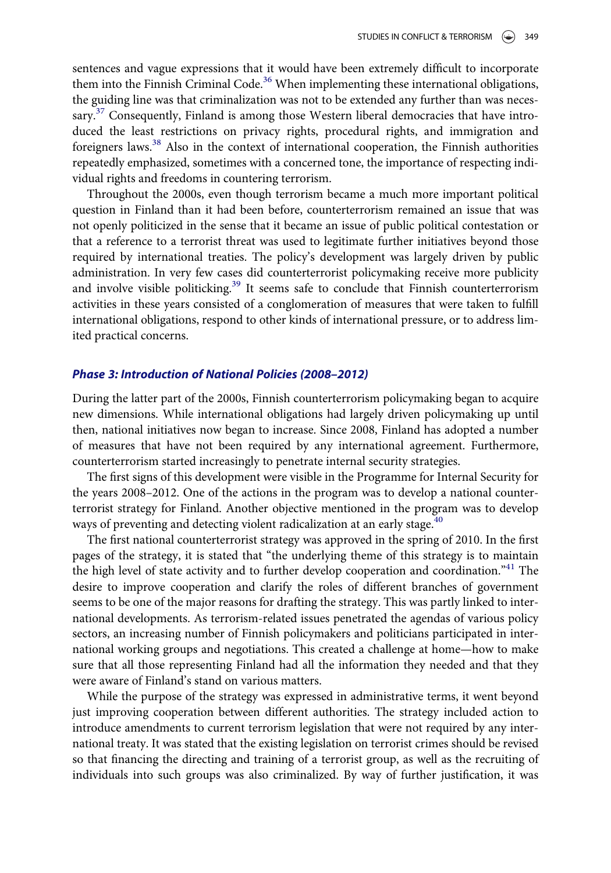sentences and vague expressions that it would have been extremely difficult to incorporate them into the Finnish Criminal Code.<sup>[36](#page-19-0)</sup> When implementing these international obligations, the guiding line was that criminalization was not to be extended any further than was necessary. $37$  Consequently, Finland is among those Western liberal democracies that have introduced the least restrictions on privacy rights, procedural rights, and immigration and foreigners laws[.38](#page-19-2) Also in the context of international cooperation, the Finnish authorities repeatedly emphasized, sometimes with a concerned tone, the importance of respecting individual rights and freedoms in countering terrorism.

Throughout the 2000s, even though terrorism became a much more important political question in Finland than it had been before, counterterrorism remained an issue that was not openly politicized in the sense that it became an issue of public political contestation or that a reference to a terrorist threat was used to legitimate further initiatives beyond those required by international treaties. The policy's development was largely driven by public administration. In very few cases did counterterrorist policymaking receive more publicity and involve visible politicking.<sup>39</sup> It seems safe to conclude that Finnish counterterrorism activities in these years consisted of a conglomeration of measures that were taken to fulfill international obligations, respond to other kinds of international pressure, or to address limited practical concerns.

### Phase 3: Introduction of National Policies (2008–2012)

During the latter part of the 2000s, Finnish counterterrorism policymaking began to acquire new dimensions. While international obligations had largely driven policymaking up until then, national initiatives now began to increase. Since 2008, Finland has adopted a number of measures that have not been required by any international agreement. Furthermore, counterterrorism started increasingly to penetrate internal security strategies.

The first signs of this development were visible in the Programme for Internal Security for the years 2008–2012. One of the actions in the program was to develop a national counterterrorist strategy for Finland. Another objective mentioned in the program was to develop ways of preventing and detecting violent radicalization at an early stage.<sup>[40](#page-19-4)</sup>

The first national counterterrorist strategy was approved in the spring of 2010. In the first pages of the strategy, it is stated that "the underlying theme of this strategy is to maintain the high level of state activity and to further develop cooperation and coordination." [41](#page-19-5) The desire to improve cooperation and clarify the roles of different branches of government seems to be one of the major reasons for drafting the strategy. This was partly linked to international developments. As terrorism-related issues penetrated the agendas of various policy sectors, an increasing number of Finnish policymakers and politicians participated in international working groups and negotiations. This created a challenge at home—how to make sure that all those representing Finland had all the information they needed and that they were aware of Finland's stand on various matters.

While the purpose of the strategy was expressed in administrative terms, it went beyond just improving cooperation between different authorities. The strategy included action to introduce amendments to current terrorism legislation that were not required by any international treaty. It was stated that the existing legislation on terrorist crimes should be revised so that financing the directing and training of a terrorist group, as well as the recruiting of individuals into such groups was also criminalized. By way of further justification, it was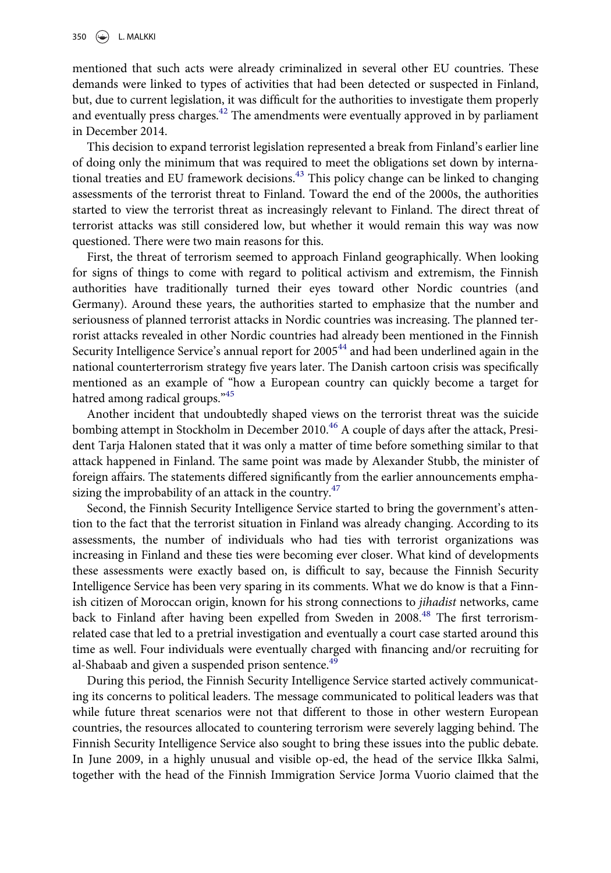mentioned that such acts were already criminalized in several other EU countries. These demands were linked to types of activities that had been detected or suspected in Finland, but, due to current legislation, it was difficult for the authorities to investigate them properly and eventually press charges. $42$  The amendments were eventually approved in by parliament in December 2014.

This decision to expand terrorist legislation represented a break from Finland's earlier line of doing only the minimum that was required to meet the obligations set down by interna-tional treaties and EU framework decisions.<sup>[43](#page-19-7)</sup> This policy change can be linked to changing assessments of the terrorist threat to Finland. Toward the end of the 2000s, the authorities started to view the terrorist threat as increasingly relevant to Finland. The direct threat of terrorist attacks was still considered low, but whether it would remain this way was now questioned. There were two main reasons for this.

First, the threat of terrorism seemed to approach Finland geographically. When looking for signs of things to come with regard to political activism and extremism, the Finnish authorities have traditionally turned their eyes toward other Nordic countries (and Germany). Around these years, the authorities started to emphasize that the number and seriousness of planned terrorist attacks in Nordic countries was increasing. The planned terrorist attacks revealed in other Nordic countries had already been mentioned in the Finnish Security Intelligence Service's annual report for 2005<sup>[44](#page-19-8)</sup> and had been underlined again in the national counterterrorism strategy five years later. The Danish cartoon crisis was specifically mentioned as an example of "how a European country can quickly become a target for hatred among radical groups."<sup>[45](#page-20-0)</sup>

Another incident that undoubtedly shaped views on the terrorist threat was the suicide bombing attempt in Stockholm in December 2010.<sup>[46](#page-20-1)</sup> A couple of days after the attack, President Tarja Halonen stated that it was only a matter of time before something similar to that attack happened in Finland. The same point was made by Alexander Stubb, the minister of foreign affairs. The statements differed significantly from the earlier announcements emphasizing the improbability of an attack in the country. $47$ 

Second, the Finnish Security Intelligence Service started to bring the government's attention to the fact that the terrorist situation in Finland was already changing. According to its assessments, the number of individuals who had ties with terrorist organizations was increasing in Finland and these ties were becoming ever closer. What kind of developments these assessments were exactly based on, is difficult to say, because the Finnish Security Intelligence Service has been very sparing in its comments. What we do know is that a Finnish citizen of Moroccan origin, known for his strong connections to jihadist networks, came back to Finland after having been expelled from Sweden in 2008.[48](#page-20-3) The first terrorismrelated case that led to a pretrial investigation and eventually a court case started around this time as well. Four individuals were eventually charged with financing and/or recruiting for al-Shabaab and given a suspended prison sentence.<sup>[49](#page-20-4)</sup>

During this period, the Finnish Security Intelligence Service started actively communicating its concerns to political leaders. The message communicated to political leaders was that while future threat scenarios were not that different to those in other western European countries, the resources allocated to countering terrorism were severely lagging behind. The Finnish Security Intelligence Service also sought to bring these issues into the public debate. In June 2009, in a highly unusual and visible op-ed, the head of the service Ilkka Salmi, together with the head of the Finnish Immigration Service Jorma Vuorio claimed that the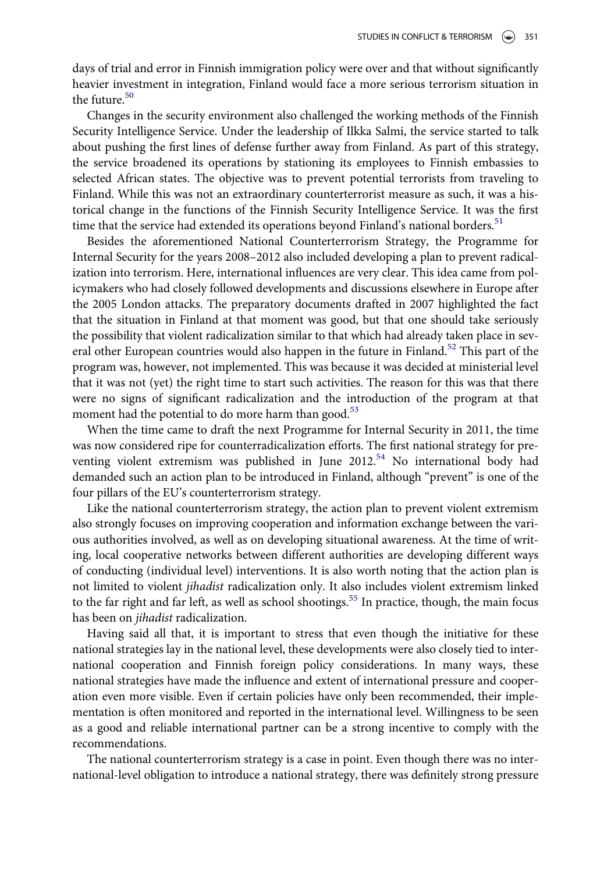days of trial and error in Finnish immigration policy were over and that without significantly heavier investment in integration, Finland would face a more serious terrorism situation in the future.<sup>[50](#page-20-5)</sup>

Changes in the security environment also challenged the working methods of the Finnish Security Intelligence Service. Under the leadership of Ilkka Salmi, the service started to talk about pushing the first lines of defense further away from Finland. As part of this strategy, the service broadened its operations by stationing its employees to Finnish embassies to selected African states. The objective was to prevent potential terrorists from traveling to Finland. While this was not an extraordinary counterterrorist measure as such, it was a historical change in the functions of the Finnish Security Intelligence Service. It was the first time that the service had extended its operations beyond Finland's national borders.<sup>[51](#page-20-6)</sup>

Besides the aforementioned National Counterterrorism Strategy, the Programme for Internal Security for the years 2008–2012 also included developing a plan to prevent radicalization into terrorism. Here, international influences are very clear. This idea came from policymakers who had closely followed developments and discussions elsewhere in Europe after the 2005 London attacks. The preparatory documents drafted in 2007 highlighted the fact that the situation in Finland at that moment was good, but that one should take seriously the possibility that violent radicalization similar to that which had already taken place in sev-eral other European countries would also happen in the future in Finland.<sup>[52](#page-20-7)</sup> This part of the program was, however, not implemented. This was because it was decided at ministerial level that it was not (yet) the right time to start such activities. The reason for this was that there were no signs of significant radicalization and the introduction of the program at that moment had the potential to do more harm than good.<sup>[53](#page-20-8)</sup>

When the time came to draft the next Programme for Internal Security in 2011, the time was now considered ripe for counterradicalization efforts. The first national strategy for pre-venting violent extremism was published in June 2012.<sup>[54](#page-20-9)</sup> No international body had demanded such an action plan to be introduced in Finland, although "prevent" is one of the four pillars of the EU's counterterrorism strategy.

Like the national counterterrorism strategy, the action plan to prevent violent extremism also strongly focuses on improving cooperation and information exchange between the various authorities involved, as well as on developing situational awareness. At the time of writing, local cooperative networks between different authorities are developing different ways of conducting (individual level) interventions. It is also worth noting that the action plan is not limited to violent jihadist radicalization only. It also includes violent extremism linked to the far right and far left, as well as school shootings.<sup>[55](#page-20-10)</sup> In practice, though, the main focus has been on *jihadist* radicalization.

Having said all that, it is important to stress that even though the initiative for these national strategies lay in the national level, these developments were also closely tied to international cooperation and Finnish foreign policy considerations. In many ways, these national strategies have made the influence and extent of international pressure and cooperation even more visible. Even if certain policies have only been recommended, their implementation is often monitored and reported in the international level. Willingness to be seen as a good and reliable international partner can be a strong incentive to comply with the recommendations.

The national counterterrorism strategy is a case in point. Even though there was no international-level obligation to introduce a national strategy, there was definitely strong pressure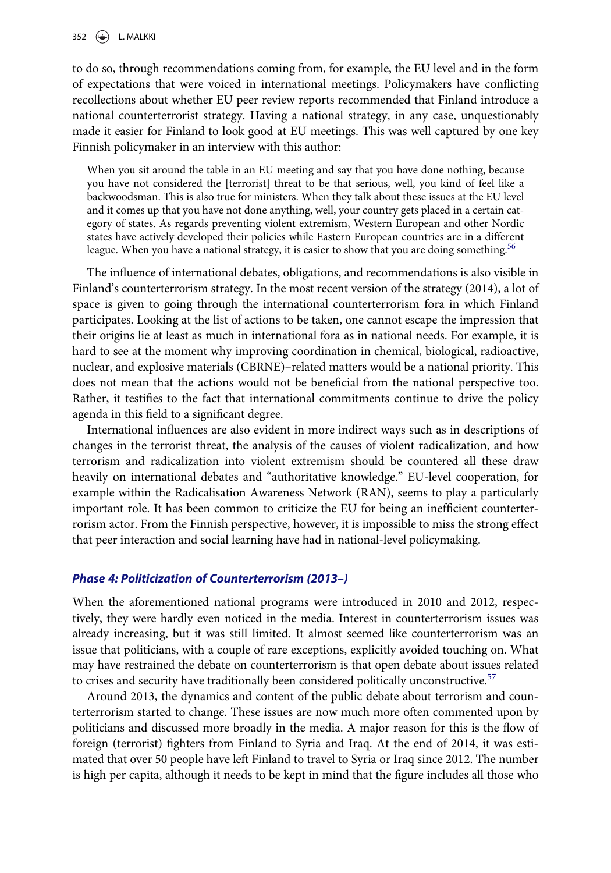to do so, through recommendations coming from, for example, the EU level and in the form of expectations that were voiced in international meetings. Policymakers have conflicting recollections about whether EU peer review reports recommended that Finland introduce a national counterterrorist strategy. Having a national strategy, in any case, unquestionably made it easier for Finland to look good at EU meetings. This was well captured by one key Finnish policymaker in an interview with this author:

When you sit around the table in an EU meeting and say that you have done nothing, because you have not considered the [terrorist] threat to be that serious, well, you kind of feel like a backwoodsman. This is also true for ministers. When they talk about these issues at the EU level and it comes up that you have not done anything, well, your country gets placed in a certain category of states. As regards preventing violent extremism, Western European and other Nordic states have actively developed their policies while Eastern European countries are in a different league. When you have a national strategy, it is easier to show that you are doing something.<sup>[56](#page-20-11)</sup>

The influence of international debates, obligations, and recommendations is also visible in Finland's counterterrorism strategy. In the most recent version of the strategy (2014), a lot of space is given to going through the international counterterrorism fora in which Finland participates. Looking at the list of actions to be taken, one cannot escape the impression that their origins lie at least as much in international fora as in national needs. For example, it is hard to see at the moment why improving coordination in chemical, biological, radioactive, nuclear, and explosive materials (CBRNE)–related matters would be a national priority. This does not mean that the actions would not be beneficial from the national perspective too. Rather, it testifies to the fact that international commitments continue to drive the policy agenda in this field to a significant degree.

International influences are also evident in more indirect ways such as in descriptions of changes in the terrorist threat, the analysis of the causes of violent radicalization, and how terrorism and radicalization into violent extremism should be countered all these draw heavily on international debates and "authoritative knowledge." EU-level cooperation, for example within the Radicalisation Awareness Network (RAN), seems to play a particularly important role. It has been common to criticize the EU for being an inefficient counterterrorism actor. From the Finnish perspective, however, it is impossible to miss the strong effect that peer interaction and social learning have had in national-level policymaking.

## Phase 4: Politicization of Counterterrorism (2013–)

When the aforementioned national programs were introduced in 2010 and 2012, respectively, they were hardly even noticed in the media. Interest in counterterrorism issues was already increasing, but it was still limited. It almost seemed like counterterrorism was an issue that politicians, with a couple of rare exceptions, explicitly avoided touching on. What may have restrained the debate on counterterrorism is that open debate about issues related to crises and security have traditionally been considered politically unconstructive.<sup>[57](#page-20-12)</sup>

Around 2013, the dynamics and content of the public debate about terrorism and counterterrorism started to change. These issues are now much more often commented upon by politicians and discussed more broadly in the media. A major reason for this is the flow of foreign (terrorist) fighters from Finland to Syria and Iraq. At the end of 2014, it was estimated that over 50 people have left Finland to travel to Syria or Iraq since 2012. The number is high per capita, although it needs to be kept in mind that the figure includes all those who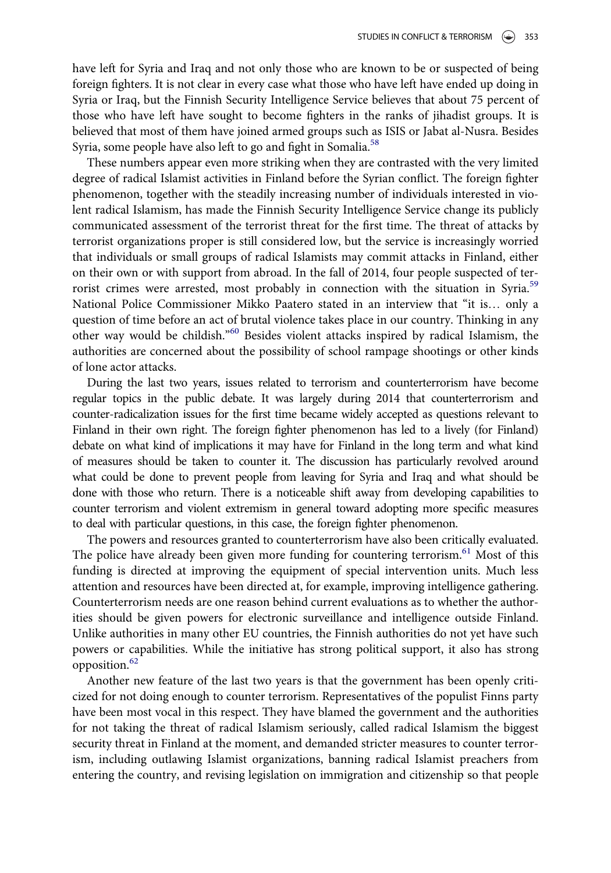have left for Syria and Iraq and not only those who are known to be or suspected of being foreign fighters. It is not clear in every case what those who have left have ended up doing in Syria or Iraq, but the Finnish Security Intelligence Service believes that about 75 percent of those who have left have sought to become fighters in the ranks of jihadist groups. It is believed that most of them have joined armed groups such as ISIS or Jabat al-Nusra. Besides Syria, some people have also left to go and fight in Somalia.<sup>58</sup>

These numbers appear even more striking when they are contrasted with the very limited degree of radical Islamist activities in Finland before the Syrian conflict. The foreign fighter phenomenon, together with the steadily increasing number of individuals interested in violent radical Islamism, has made the Finnish Security Intelligence Service change its publicly communicated assessment of the terrorist threat for the first time. The threat of attacks by terrorist organizations proper is still considered low, but the service is increasingly worried that individuals or small groups of radical Islamists may commit attacks in Finland, either on their own or with support from abroad. In the fall of 2014, four people suspected of ter-rorist crimes were arrested, most probably in connection with the situation in Syria.<sup>[59](#page-21-0)</sup> National Police Commissioner Mikko Paatero stated in an interview that "it is… only a question of time before an act of brutal violence takes place in our country. Thinking in any other way would be childish." [60](#page-21-1) Besides violent attacks inspired by radical Islamism, the authorities are concerned about the possibility of school rampage shootings or other kinds of lone actor attacks.

During the last two years, issues related to terrorism and counterterrorism have become regular topics in the public debate. It was largely during 2014 that counterterrorism and counter-radicalization issues for the first time became widely accepted as questions relevant to Finland in their own right. The foreign fighter phenomenon has led to a lively (for Finland) debate on what kind of implications it may have for Finland in the long term and what kind of measures should be taken to counter it. The discussion has particularly revolved around what could be done to prevent people from leaving for Syria and Iraq and what should be done with those who return. There is a noticeable shift away from developing capabilities to counter terrorism and violent extremism in general toward adopting more specific measures to deal with particular questions, in this case, the foreign fighter phenomenon.

The powers and resources granted to counterterrorism have also been critically evaluated. The police have already been given more funding for countering terrorism.<sup>[61](#page-21-2)</sup> Most of this funding is directed at improving the equipment of special intervention units. Much less attention and resources have been directed at, for example, improving intelligence gathering. Counterterrorism needs are one reason behind current evaluations as to whether the authorities should be given powers for electronic surveillance and intelligence outside Finland. Unlike authorities in many other EU countries, the Finnish authorities do not yet have such powers or capabilities. While the initiative has strong political support, it also has strong opposition.<sup>[62](#page-21-3)</sup>

Another new feature of the last two years is that the government has been openly criticized for not doing enough to counter terrorism. Representatives of the populist Finns party have been most vocal in this respect. They have blamed the government and the authorities for not taking the threat of radical Islamism seriously, called radical Islamism the biggest security threat in Finland at the moment, and demanded stricter measures to counter terrorism, including outlawing Islamist organizations, banning radical Islamist preachers from entering the country, and revising legislation on immigration and citizenship so that people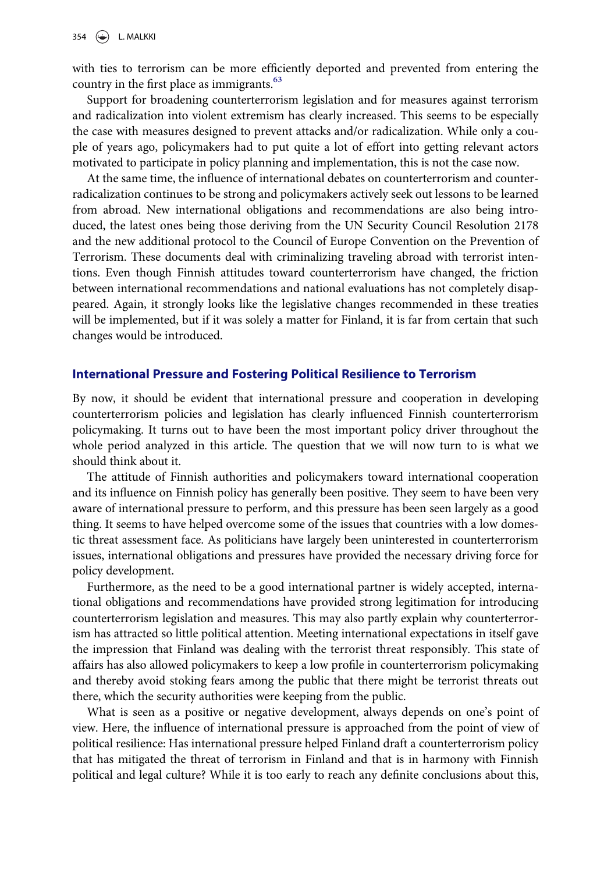with ties to terrorism can be more efficiently deported and prevented from entering the country in the first place as immigrants.<sup>[63](#page-21-4)</sup>

Support for broadening counterterrorism legislation and for measures against terrorism and radicalization into violent extremism has clearly increased. This seems to be especially the case with measures designed to prevent attacks and/or radicalization. While only a couple of years ago, policymakers had to put quite a lot of effort into getting relevant actors motivated to participate in policy planning and implementation, this is not the case now.

At the same time, the influence of international debates on counterterrorism and counterradicalization continues to be strong and policymakers actively seek out lessons to be learned from abroad. New international obligations and recommendations are also being introduced, the latest ones being those deriving from the UN Security Council Resolution 2178 and the new additional protocol to the Council of Europe Convention on the Prevention of Terrorism. These documents deal with criminalizing traveling abroad with terrorist intentions. Even though Finnish attitudes toward counterterrorism have changed, the friction between international recommendations and national evaluations has not completely disappeared. Again, it strongly looks like the legislative changes recommended in these treaties will be implemented, but if it was solely a matter for Finland, it is far from certain that such changes would be introduced.

# International Pressure and Fostering Political Resilience to Terrorism

By now, it should be evident that international pressure and cooperation in developing counterterrorism policies and legislation has clearly influenced Finnish counterterrorism policymaking. It turns out to have been the most important policy driver throughout the whole period analyzed in this article. The question that we will now turn to is what we should think about it.

The attitude of Finnish authorities and policymakers toward international cooperation and its influence on Finnish policy has generally been positive. They seem to have been very aware of international pressure to perform, and this pressure has been seen largely as a good thing. It seems to have helped overcome some of the issues that countries with a low domestic threat assessment face. As politicians have largely been uninterested in counterterrorism issues, international obligations and pressures have provided the necessary driving force for policy development.

Furthermore, as the need to be a good international partner is widely accepted, international obligations and recommendations have provided strong legitimation for introducing counterterrorism legislation and measures. This may also partly explain why counterterrorism has attracted so little political attention. Meeting international expectations in itself gave the impression that Finland was dealing with the terrorist threat responsibly. This state of affairs has also allowed policymakers to keep a low profile in counterterrorism policymaking and thereby avoid stoking fears among the public that there might be terrorist threats out there, which the security authorities were keeping from the public.

What is seen as a positive or negative development, always depends on one's point of view. Here, the influence of international pressure is approached from the point of view of political resilience: Has international pressure helped Finland draft a counterterrorism policy that has mitigated the threat of terrorism in Finland and that is in harmony with Finnish political and legal culture? While it is too early to reach any definite conclusions about this,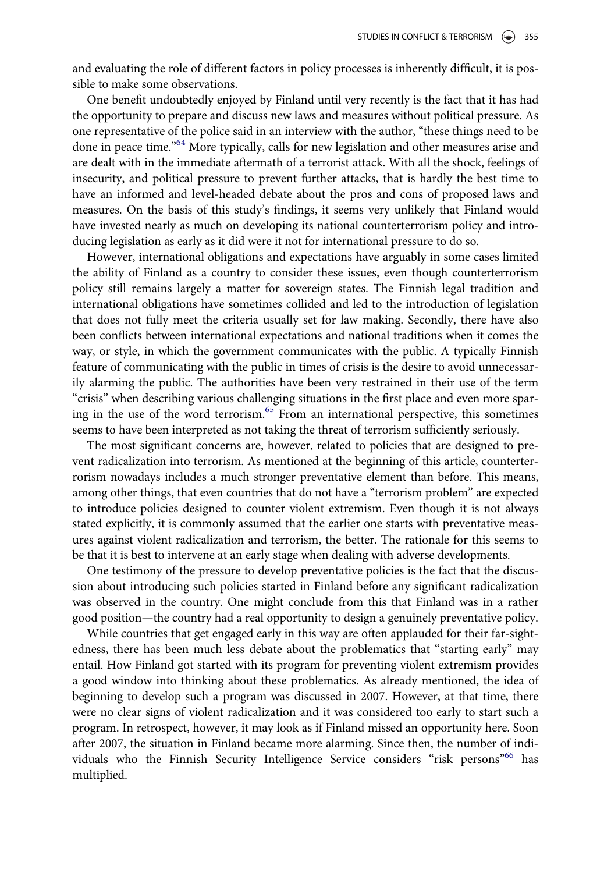and evaluating the role of different factors in policy processes is inherently difficult, it is possible to make some observations.

One benefit undoubtedly enjoyed by Finland until very recently is the fact that it has had the opportunity to prepare and discuss new laws and measures without political pressure. As one representative of the police said in an interview with the author, "these things need to be done in peace time."<sup>[64](#page-21-5)</sup> More typically, calls for new legislation and other measures arise and are dealt with in the immediate aftermath of a terrorist attack. With all the shock, feelings of insecurity, and political pressure to prevent further attacks, that is hardly the best time to have an informed and level-headed debate about the pros and cons of proposed laws and measures. On the basis of this study's findings, it seems very unlikely that Finland would have invested nearly as much on developing its national counterterrorism policy and introducing legislation as early as it did were it not for international pressure to do so.

However, international obligations and expectations have arguably in some cases limited the ability of Finland as a country to consider these issues, even though counterterrorism policy still remains largely a matter for sovereign states. The Finnish legal tradition and international obligations have sometimes collided and led to the introduction of legislation that does not fully meet the criteria usually set for law making. Secondly, there have also been conflicts between international expectations and national traditions when it comes the way, or style, in which the government communicates with the public. A typically Finnish feature of communicating with the public in times of crisis is the desire to avoid unnecessarily alarming the public. The authorities have been very restrained in their use of the term "crisis" when describing various challenging situations in the first place and even more sparing in the use of the word terrorism.[65](#page-21-6) From an international perspective, this sometimes seems to have been interpreted as not taking the threat of terrorism sufficiently seriously.

The most significant concerns are, however, related to policies that are designed to prevent radicalization into terrorism. As mentioned at the beginning of this article, counterterrorism nowadays includes a much stronger preventative element than before. This means, among other things, that even countries that do not have a "terrorism problem" are expected to introduce policies designed to counter violent extremism. Even though it is not always stated explicitly, it is commonly assumed that the earlier one starts with preventative measures against violent radicalization and terrorism, the better. The rationale for this seems to be that it is best to intervene at an early stage when dealing with adverse developments.

One testimony of the pressure to develop preventative policies is the fact that the discussion about introducing such policies started in Finland before any significant radicalization was observed in the country. One might conclude from this that Finland was in a rather good position—the country had a real opportunity to design a genuinely preventative policy.

While countries that get engaged early in this way are often applauded for their far-sightedness, there has been much less debate about the problematics that "starting early" may entail. How Finland got started with its program for preventing violent extremism provides a good window into thinking about these problematics. As already mentioned, the idea of beginning to develop such a program was discussed in 2007. However, at that time, there were no clear signs of violent radicalization and it was considered too early to start such a program. In retrospect, however, it may look as if Finland missed an opportunity here. Soon after 2007, the situation in Finland became more alarming. Since then, the number of indi-viduals who the Finnish Security Intelligence Service considers "risk persons"<sup>[66](#page-21-7)</sup> has multiplied.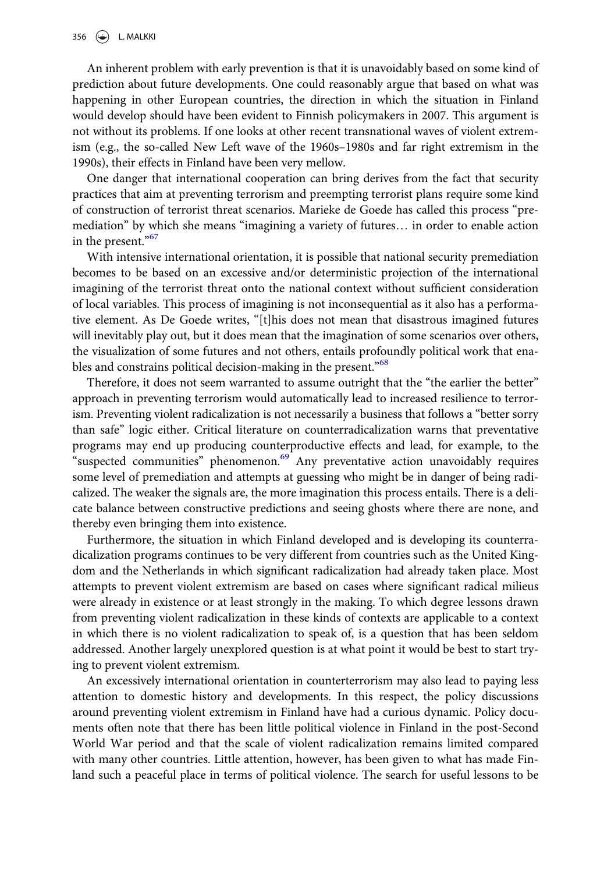An inherent problem with early prevention is that it is unavoidably based on some kind of prediction about future developments. One could reasonably argue that based on what was happening in other European countries, the direction in which the situation in Finland would develop should have been evident to Finnish policymakers in 2007. This argument is not without its problems. If one looks at other recent transnational waves of violent extremism (e.g., the so-called New Left wave of the 1960s–1980s and far right extremism in the 1990s), their effects in Finland have been very mellow.

One danger that international cooperation can bring derives from the fact that security practices that aim at preventing terrorism and preempting terrorist plans require some kind of construction of terrorist threat scenarios. Marieke de Goede has called this process "premediation" by which she means "imagining a variety of futures… in order to enable action in the present." [67](#page-21-8)

With intensive international orientation, it is possible that national security premediation becomes to be based on an excessive and/or deterministic projection of the international imagining of the terrorist threat onto the national context without sufficient consideration of local variables. This process of imagining is not inconsequential as it also has a performative element. As De Goede writes, "[t]his does not mean that disastrous imagined futures will inevitably play out, but it does mean that the imagination of some scenarios over others, the visualization of some futures and not others, entails profoundly political work that ena-bles and constrains political decision-making in the present."<sup>[68](#page-21-9)</sup>

Therefore, it does not seem warranted to assume outright that the "the earlier the better" approach in preventing terrorism would automatically lead to increased resilience to terrorism. Preventing violent radicalization is not necessarily a business that follows a "better sorry than safe" logic either. Critical literature on counterradicalization warns that preventative programs may end up producing counterproductive effects and lead, for example, to the "suspected communities" phenomenon.<sup>[69](#page-21-10)</sup> Any preventative action unavoidably requires some level of premediation and attempts at guessing who might be in danger of being radicalized. The weaker the signals are, the more imagination this process entails. There is a delicate balance between constructive predictions and seeing ghosts where there are none, and thereby even bringing them into existence.

Furthermore, the situation in which Finland developed and is developing its counterradicalization programs continues to be very different from countries such as the United Kingdom and the Netherlands in which significant radicalization had already taken place. Most attempts to prevent violent extremism are based on cases where significant radical milieus were already in existence or at least strongly in the making. To which degree lessons drawn from preventing violent radicalization in these kinds of contexts are applicable to a context in which there is no violent radicalization to speak of, is a question that has been seldom addressed. Another largely unexplored question is at what point it would be best to start trying to prevent violent extremism.

An excessively international orientation in counterterrorism may also lead to paying less attention to domestic history and developments. In this respect, the policy discussions around preventing violent extremism in Finland have had a curious dynamic. Policy documents often note that there has been little political violence in Finland in the post-Second World War period and that the scale of violent radicalization remains limited compared with many other countries. Little attention, however, has been given to what has made Finland such a peaceful place in terms of political violence. The search for useful lessons to be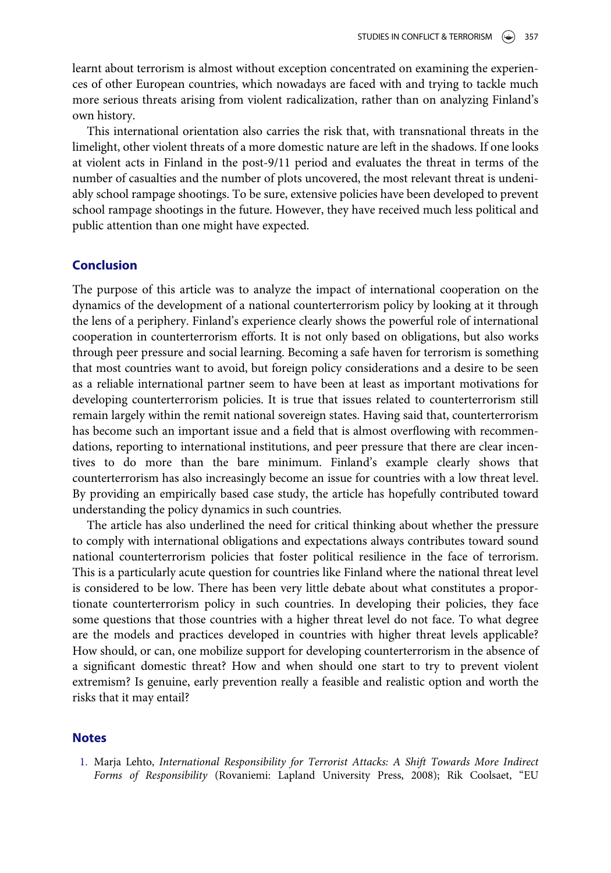learnt about terrorism is almost without exception concentrated on examining the experiences of other European countries, which nowadays are faced with and trying to tackle much more serious threats arising from violent radicalization, rather than on analyzing Finland's own history.

This international orientation also carries the risk that, with transnational threats in the limelight, other violent threats of a more domestic nature are left in the shadows. If one looks at violent acts in Finland in the post-9/11 period and evaluates the threat in terms of the number of casualties and the number of plots uncovered, the most relevant threat is undeniably school rampage shootings. To be sure, extensive policies have been developed to prevent school rampage shootings in the future. However, they have received much less political and public attention than one might have expected.

# Conclusion

The purpose of this article was to analyze the impact of international cooperation on the dynamics of the development of a national counterterrorism policy by looking at it through the lens of a periphery. Finland's experience clearly shows the powerful role of international cooperation in counterterrorism efforts. It is not only based on obligations, but also works through peer pressure and social learning. Becoming a safe haven for terrorism is something that most countries want to avoid, but foreign policy considerations and a desire to be seen as a reliable international partner seem to have been at least as important motivations for developing counterterrorism policies. It is true that issues related to counterterrorism still remain largely within the remit national sovereign states. Having said that, counterterrorism has become such an important issue and a field that is almost overflowing with recommendations, reporting to international institutions, and peer pressure that there are clear incentives to do more than the bare minimum. Finland's example clearly shows that counterterrorism has also increasingly become an issue for countries with a low threat level. By providing an empirically based case study, the article has hopefully contributed toward understanding the policy dynamics in such countries.

The article has also underlined the need for critical thinking about whether the pressure to comply with international obligations and expectations always contributes toward sound national counterterrorism policies that foster political resilience in the face of terrorism. This is a particularly acute question for countries like Finland where the national threat level is considered to be low. There has been very little debate about what constitutes a proportionate counterterrorism policy in such countries. In developing their policies, they face some questions that those countries with a higher threat level do not face. To what degree are the models and practices developed in countries with higher threat levels applicable? How should, or can, one mobilize support for developing counterterrorism in the absence of a significant domestic threat? How and when should one start to try to prevent violent extremism? Is genuine, early prevention really a feasible and realistic option and worth the risks that it may entail?

#### <span id="page-16-0"></span>**Notes**

1. Marja Lehto, International Responsibility for Terrorist Attacks: A Shift Towards More Indirect Forms of Responsibility (Rovaniemi: Lapland University Press, 2008); Rik Coolsaet, "EU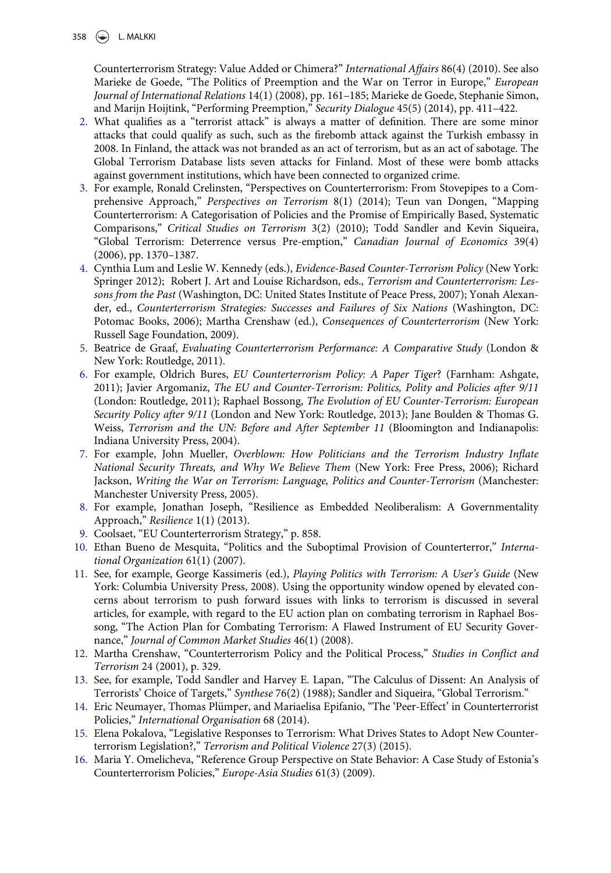Counterterrorism Strategy: Value Added or Chimera?" International Affairs 86(4) (2010). See also Marieke de Goede, "The Politics of Preemption and the War on Terror in Europe," European Journal of International Relations 14(1) (2008), pp. 161–185; Marieke de Goede, Stephanie Simon, and Marijn Hoijtink, "Performing Preemption," Security Dialogue 45(5) (2014), pp. 411–422.

- <span id="page-17-0"></span>2. What qualifies as a "terrorist attack" is always a matter of definition. There are some minor attacks that could qualify as such, such as the firebomb attack against the Turkish embassy in 2008. In Finland, the attack was not branded as an act of terrorism, but as an act of sabotage. The Global Terrorism Database lists seven attacks for Finland. Most of these were bomb attacks against government institutions, which have been connected to organized crime.
- <span id="page-17-1"></span>3. For example, Ronald Crelinsten, "Perspectives on Counterterrorism: From Stovepipes to a Comprehensive Approach," Perspectives on Terrorism 8(1) (2014); Teun van Dongen, "Mapping Counterterrorism: A Categorisation of Policies and the Promise of Empirically Based, Systematic Comparisons," Critical Studies on Terrorism 3(2) (2010); Todd Sandler and Kevin Siqueira, "Global Terrorism: Deterrence versus Pre-emption," Canadian Journal of Economics 39(4) (2006), pp. 1370–1387.
- <span id="page-17-2"></span>4. Cynthia Lum and Leslie W. Kennedy (eds.), Evidence-Based Counter-Terrorism Policy (New York: Springer 2012); Robert J. Art and Louise Richardson, eds., Terrorism and Counterterrorism: Lessons from the Past (Washington, DC: United States Institute of Peace Press, 2007); Yonah Alexander, ed., Counterterrorism Strategies: Successes and Failures of Six Nations (Washington, DC: Potomac Books, 2006); Martha Crenshaw (ed.), Consequences of Counterterrorism (New York: Russell Sage Foundation, 2009).
- <span id="page-17-3"></span>5. Beatrice de Graaf, Evaluating Counterterrorism Performance: A Comparative Study (London & New York: Routledge, 2011).
- <span id="page-17-4"></span>6. For example, Oldrich Bures, EU Counterterrorism Policy: A Paper Tiger? (Farnham: Ashgate, 2011); Javier Argomaniz, The EU and Counter-Terrorism: Politics, Polity and Policies after 9/11 (London: Routledge, 2011); Raphael Bossong, The Evolution of EU Counter-Terrorism: European Security Policy after 9/11 (London and New York: Routledge, 2013); Jane Boulden & Thomas G. Weiss, Terrorism and the UN: Before and After September 11 (Bloomington and Indianapolis: Indiana University Press, 2004).
- <span id="page-17-5"></span>7. For example, John Mueller, Overblown: How Politicians and the Terrorism Industry Inflate National Security Threats, and Why We Believe Them (New York: Free Press, 2006); Richard Jackson, Writing the War on Terrorism: Language, Politics and Counter-Terrorism (Manchester: Manchester University Press, 2005).
- <span id="page-17-6"></span>8. For example, Jonathan Joseph, "Resilience as Embedded Neoliberalism: A Governmentality Approach," Resilience 1(1) (2013).
- 9. Coolsaet, "EU Counterterrorism Strategy," p. 858.
- <span id="page-17-8"></span><span id="page-17-7"></span>10. Ethan Bueno de Mesquita, "Politics and the Suboptimal Provision of Counterterror," International Organization 61(1) (2007).
- <span id="page-17-9"></span>11. See, for example, George Kassimeris (ed.), Playing Politics with Terrorism: A User's Guide (New York: Columbia University Press, 2008). Using the opportunity window opened by elevated concerns about terrorism to push forward issues with links to terrorism is discussed in several articles, for example, with regard to the EU action plan on combating terrorism in Raphael Bossong, "The Action Plan for Combating Terrorism: A Flawed Instrument of EU Security Governance," Journal of Common Market Studies 46(1) (2008).
- <span id="page-17-10"></span>12. Martha Crenshaw, "Counterterrorism Policy and the Political Process," Studies in Conflict and Terrorism 24 (2001), p. 329.
- <span id="page-17-11"></span>13. See, for example, Todd Sandler and Harvey E. Lapan, "The Calculus of Dissent: An Analysis of Terrorists' Choice of Targets," Synthese 76(2) (1988); Sandler and Siqueira, "Global Terrorism."
- <span id="page-17-12"></span>14. Eric Neumayer, Thomas Plümper, and Mariaelisa Epifanio, "The 'Peer-Effect' in Counterterrorist Policies," International Organisation 68 (2014).
- <span id="page-17-13"></span>15. Elena Pokalova, "Legislative Responses to Terrorism: What Drives States to Adopt New Counterterrorism Legislation?," Terrorism and Political Violence 27(3) (2015).
- <span id="page-17-14"></span>16. Maria Y. Omelicheva, "Reference Group Perspective on State Behavior: A Case Study of Estonia's Counterterrorism Policies," Europe-Asia Studies 61(3) (2009).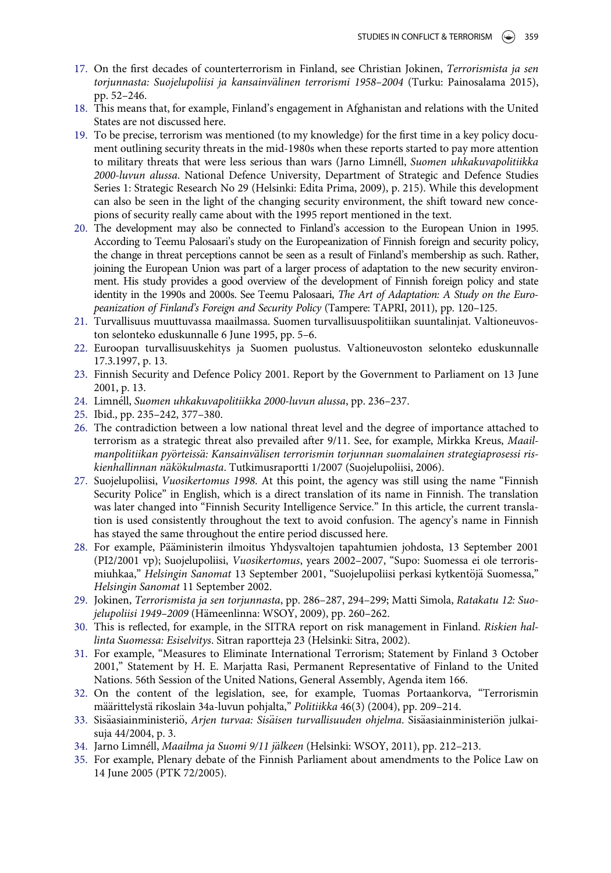- <span id="page-18-0"></span>17. On the first decades of counterterrorism in Finland, see Christian Jokinen, Terrorismista ja sen torjunnasta: Suojelupoliisi ja kansainvälinen terrorismi 1958–2004 (Turku: Painosalama 2015), pp. 52–246.
- <span id="page-18-1"></span>18. This means that, for example, Finland's engagement in Afghanistan and relations with the United States are not discussed here.
- <span id="page-18-2"></span>19. To be precise, terrorism was mentioned (to my knowledge) for the first time in a key policy document outlining security threats in the mid-1980s when these reports started to pay more attention to military threats that were less serious than wars (Jarno Limnéll, Suomen uhkakuvapolitiikka 2000-luvun alussa. National Defence University, Department of Strategic and Defence Studies Series 1: Strategic Research No 29 (Helsinki: Edita Prima, 2009), p. 215). While this development can also be seen in the light of the changing security environment, the shift toward new concepions of security really came about with the 1995 report mentioned in the text.
- <span id="page-18-3"></span>20. The development may also be connected to Finland's accession to the European Union in 1995. According to Teemu Palosaari's study on the Europeanization of Finnish foreign and security policy, the change in threat perceptions cannot be seen as a result of Finland's membership as such. Rather, joining the European Union was part of a larger process of adaptation to the new security environment. His study provides a good overview of the development of Finnish foreign policy and state identity in the 1990s and 2000s. See Teemu Palosaari, The Art of Adaptation: A Study on the Europeanization of Finland's Foreign and Security Policy (Tampere: TAPRI, 2011), pp. 120–125.
- <span id="page-18-4"></span>21. Turvallisuus muuttuvassa maailmassa. Suomen turvallisuuspolitiikan suuntalinjat. Valtioneuvoston selonteko eduskunnalle 6 June 1995, pp. 5–6.
- <span id="page-18-5"></span>22. Euroopan turvallisuuskehitys ja Suomen puolustus. Valtioneuvoston selonteko eduskunnalle 17.3.1997, p. 13.
- <span id="page-18-6"></span>23. Finnish Security and Defence Policy 2001. Report by the Government to Parliament on 13 June 2001, p. 13.
- <span id="page-18-7"></span>24. Limnell, Suomen uhkakuvapolitiikka 2000-luvun alussa, pp. 236–237.
- <span id="page-18-8"></span>25. Ibid., pp. 235–242, 377–380.
- <span id="page-18-9"></span>26. The contradiction between a low national threat level and the degree of importance attached to terrorism as a strategic threat also prevailed after 9/11. See, for example, Mirkka Kreus, Maailmanpolitiikan pyörteissä: Kansainvälisen terrorismin torjunnan suomalainen strategiaprosessi riskienhallinnan näkökulmasta. Tutkimusraportti 1/2007 (Suojelupoliisi, 2006).
- <span id="page-18-10"></span>27. Suojelupoliisi, Vuosikertomus 1998. At this point, the agency was still using the name "Finnish Security Police" in English, which is a direct translation of its name in Finnish. The translation was later changed into "Finnish Security Intelligence Service." In this article, the current translation is used consistently throughout the text to avoid confusion. The agency's name in Finnish has stayed the same throughout the entire period discussed here.
- <span id="page-18-11"></span>28. For example, P€a€aministerin ilmoitus Yhdysvaltojen tapahtumien johdosta, 13 September 2001 (PI2/2001 vp); Suojelupoliisi, Vuosikertomus, years 2002–2007, "Supo: Suomessa ei ole terrorismiuhkaa," Helsingin Sanomat 13 September 2001, "Suojelupoliisi perkasi kytkentöjä Suomessa," Helsingin Sanomat 11 September 2002.
- <span id="page-18-12"></span>29. Jokinen, Terrorismista ja sen torjunnasta, pp. 286–287, 294–299; Matti Simola, Ratakatu 12: Suojelupoliisi 1949–2009 (Hämeenlinna: WSOY, 2009), pp. 260–262.
- <span id="page-18-13"></span>30. This is reflected, for example, in the SITRA report on risk management in Finland. Riskien hallinta Suomessa: Esiselvitys. Sitran raportteja 23 (Helsinki: Sitra, 2002).
- <span id="page-18-14"></span>31. For example, "Measures to Eliminate International Terrorism; Statement by Finland 3 October 2001," Statement by H. E. Marjatta Rasi, Permanent Representative of Finland to the United Nations. 56th Session of the United Nations, General Assembly, Agenda item 166.
- <span id="page-18-15"></span>32. On the content of the legislation, see, for example, Tuomas Portaankorva, "Terrorismin määrittelystä rikoslain 34a-luvun pohjalta," Politiikka 46(3) (2004), pp. 209–214.
- <span id="page-18-16"></span>33. Sisäasiainministeriö, Arjen turvaa: Sisäisen turvallisuuden ohjelma. Sisäasiainministeriön julkaisuja 44/2004, p. 3.
- <span id="page-18-17"></span>34. Jarno Limnéll, Maailma ja Suomi 9/11 jälkeen (Helsinki: WSOY, 2011), pp. 212–213.
- <span id="page-18-18"></span>35. For example, Plenary debate of the Finnish Parliament about amendments to the Police Law on 14 June 2005 (PTK 72/2005).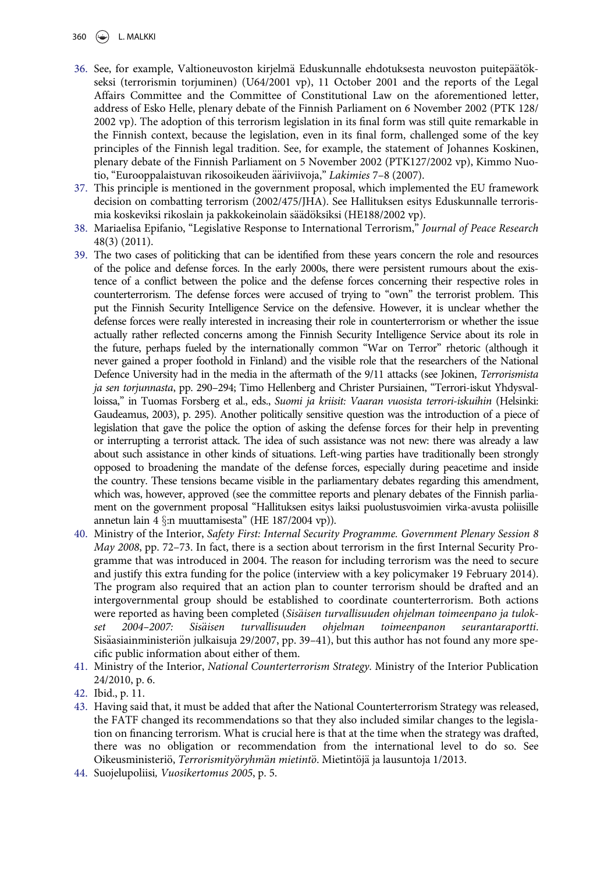360  $\left(\bigstar\right)$  L. MALKKI

- <span id="page-19-0"></span>36. See, for example, Valtioneuvoston kirjelmä Eduskunnalle ehdotuksesta neuvoston puitepäätökseksi (terrorismin torjuminen) (U64/2001 vp), 11 October 2001 and the reports of the Legal Affairs Committee and the Committee of Constitutional Law on the aforementioned letter, address of Esko Helle, plenary debate of the Finnish Parliament on 6 November 2002 (PTK 128/ 2002 vp). The adoption of this terrorism legislation in its final form was still quite remarkable in the Finnish context, because the legislation, even in its final form, challenged some of the key principles of the Finnish legal tradition. See, for example, the statement of Johannes Koskinen, plenary debate of the Finnish Parliament on 5 November 2002 (PTK127/2002 vp), Kimmo Nuotio, "Eurooppalaistuvan rikosoikeuden ääriviivoja," Lakimies 7-8 (2007).
- <span id="page-19-1"></span>37. This principle is mentioned in the government proposal, which implemented the EU framework decision on combatting terrorism (2002/475/JHA). See Hallituksen esitys Eduskunnalle terrorismia koskeviksi rikoslain ja pakkokeinolain säädöksiksi (HE188/2002 vp).
- <span id="page-19-2"></span>38. Mariaelisa Epifanio, "Legislative Response to International Terrorism," Journal of Peace Research 48(3) (2011).
- <span id="page-19-3"></span>39. The two cases of politicking that can be identified from these years concern the role and resources of the police and defense forces. In the early 2000s, there were persistent rumours about the existence of a conflict between the police and the defense forces concerning their respective roles in counterterrorism. The defense forces were accused of trying to "own" the terrorist problem. This put the Finnish Security Intelligence Service on the defensive. However, it is unclear whether the defense forces were really interested in increasing their role in counterterrorism or whether the issue actually rather reflected concerns among the Finnish Security Intelligence Service about its role in the future, perhaps fueled by the internationally common "War on Terror" rhetoric (although it never gained a proper foothold in Finland) and the visible role that the researchers of the National Defence University had in the media in the aftermath of the 9/11 attacks (see Jokinen, Terrorismista ja sen torjunnasta, pp. 290–294; Timo Hellenberg and Christer Pursiainen, "Terrori-iskut Yhdysvalloissa," in Tuomas Forsberg et al., eds., Suomi ja kriisit: Vaaran vuosista terrori-iskuihin (Helsinki: Gaudeamus, 2003), p. 295). Another politically sensitive question was the introduction of a piece of legislation that gave the police the option of asking the defense forces for their help in preventing or interrupting a terrorist attack. The idea of such assistance was not new: there was already a law about such assistance in other kinds of situations. Left-wing parties have traditionally been strongly opposed to broadening the mandate of the defense forces, especially during peacetime and inside the country. These tensions became visible in the parliamentary debates regarding this amendment, which was, however, approved (see the committee reports and plenary debates of the Finnish parliament on the government proposal "Hallituksen esitys laiksi puolustusvoimien virka-avusta poliisille annetun lain 4  $\S:$ n muuttamisesta" (HE 187/2004 vp)).
- <span id="page-19-4"></span>40. Ministry of the Interior, Safety First: Internal Security Programme. Government Plenary Session 8 May 2008, pp. 72–73. In fact, there is a section about terrorism in the first Internal Security Programme that was introduced in 2004. The reason for including terrorism was the need to secure and justify this extra funding for the police (interview with a key policymaker 19 February 2014). The program also required that an action plan to counter terrorism should be drafted and an intergovernmental group should be established to coordinate counterterrorism. Both actions were reported as having been completed (Sisäisen turvallisuuden ohjelman toimeenpano ja tulokset 2004–2007: Sisäisen turvallisuuden ohjelman toimeenpanon seurantaraportti. Sisäasiainministeriön julkaisuja 29/2007, pp. 39–41), but this author has not found any more specific public information about either of them.
- <span id="page-19-5"></span>41. Ministry of the Interior, National Counterterrorism Strategy. Ministry of the Interior Publication 24/2010, p. 6.
- <span id="page-19-6"></span>42. Ibid., p. 11.
- <span id="page-19-7"></span>43. Having said that, it must be added that after the National Counterterrorism Strategy was released, the FATF changed its recommendations so that they also included similar changes to the legislation on financing terrorism. What is crucial here is that at the time when the strategy was drafted, there was no obligation or recommendation from the international level to do so. See Oikeusministeriö, Terrorismityöryhmän mietintö. Mietintöjä ja lausuntoja 1/2013.
- <span id="page-19-8"></span>44. Suojelupoliisi, Vuosikertomus 2005, p. 5.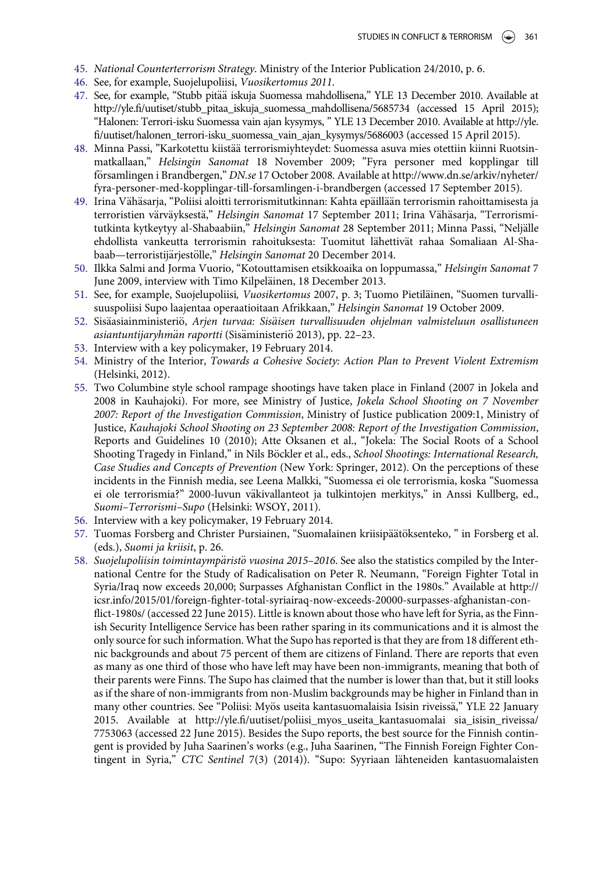- <span id="page-20-0"></span>45. National Counterterrorism Strategy. Ministry of the Interior Publication 24/2010, p. 6.
- <span id="page-20-1"></span>46. See, for example, Suojelupoliisi, Vuosikertomus 2011.
- <span id="page-20-2"></span>47. See, for example, "Stubb pitää iskuja Suomessa mahdollisena," YLE 13 December 2010. Available at http://yle.fi/uutiset/stubb\_pitaa\_iskuja\_suomessa\_mahdollisena/5685734 (accessed 15 April 2015); "Halonen: Terrori-isku Suomessa vain ajan kysymys, " YLE 13 December 2010. Available at [http://yle.](http://yle.fi/uutiset/halonen_terrori-isku_suomessa_vain_ajan_kysymys/5686003) fi[/uutiset/halonen\\_terrori-isku\\_suomessa\\_vain\\_ajan\\_kysymys/5686003](http://yle.fi/uutiset/halonen_terrori-isku_suomessa_vain_ajan_kysymys/5686003) (accessed 15 April 2015).
- <span id="page-20-3"></span>48. Minna Passi, "Karkotettu kiistää terrorismiyhteydet: Suomessa asuva mies otettiin kiinni Ruotsinmatkallaan," Helsingin Sanomat 18 November 2009; "Fyra personer med kopplingar till församlingen i Brandbergen," DN.se 17 October 2008. Available at [http://www.dn.se/arkiv/nyheter/](http://www.dn.se/arkiv/nyheter/fyra-personer-med-kopplingar-till-forsamlingen-i-brandbergen) [fyra-personer-med-kopplingar-till-forsamlingen-i-brandbergen](http://www.dn.se/arkiv/nyheter/fyra-personer-med-kopplingar-till-forsamlingen-i-brandbergen) (accessed 17 September 2015).
- <span id="page-20-4"></span>49. Irina Vähäsarja, "Poliisi aloitti terrorismitutkinnan: Kahta epäillään terrorismin rahoittamisesta ja terroristien värväyksestä," Helsingin Sanomat 17 September 2011; Irina Vähäsarja, "Terrorismitutkinta kytkeytyy al-Shabaabiin," Helsingin Sanomat 28 September 2011; Minna Passi, "Neljälle ehdollista vankeutta terrorismin rahoituksesta: Tuomitut lähettivät rahaa Somaliaan Al-Shabaab—terroristijärjestölle," Helsingin Sanomat 20 December 2014.
- <span id="page-20-5"></span>50. Ilkka Salmi and Jorma Vuorio, "Kotouttamisen etsikkoaika on loppumassa," Helsingin Sanomat 7 June 2009, interview with Timo Kilpeläinen, 18 December 2013.
- <span id="page-20-6"></span>51. See, for example, Suojelupoliisi, Vuosikertomus 2007, p. 3; Tuomo Pietiläinen, "Suomen turvallisuuspoliisi Supo laajentaa operaatioitaan Afrikkaan," Helsingin Sanomat 19 October 2009.
- <span id="page-20-7"></span>52. Sisäasiainministeriö, Arjen turvaa: Sisäisen turvallisuuden ohjelman valmisteluun osallistuneen asiantuntijaryhmän raportti (Sisäministeriö 2013), pp. 22–23.
- <span id="page-20-8"></span>53. Interview with a key policymaker, 19 February 2014.
- <span id="page-20-9"></span>54. Ministry of the Interior, Towards a Cohesive Society: Action Plan to Prevent Violent Extremism (Helsinki, 2012).
- <span id="page-20-10"></span>55. Two Columbine style school rampage shootings have taken place in Finland (2007 in Jokela and 2008 in Kauhajoki). For more, see Ministry of Justice, Jokela School Shooting on 7 November 2007: Report of the Investigation Commission, Ministry of Justice publication 2009:1, Ministry of Justice, Kauhajoki School Shooting on 23 September 2008: Report of the Investigation Commission, Reports and Guidelines 10 (2010); Atte Oksanen et al., "Jokela: The Social Roots of a School Shooting Tragedy in Finland," in Nils Böckler et al., eds., School Shootings: International Research, Case Studies and Concepts of Prevention (New York: Springer, 2012). On the perceptions of these incidents in the Finnish media, see Leena Malkki, "Suomessa ei ole terrorismia, koska "Suomessa ei ole terrorismia?" 2000-luvun väkivallanteot ja tulkintojen merkitys," in Anssi Kullberg, ed., Suomi–Terrorismi–Supo (Helsinki: WSOY, 2011).
- <span id="page-20-11"></span>56. Interview with a key policymaker, 19 February 2014.
- <span id="page-20-12"></span>57. Tuomas Forsberg and Christer Pursiainen, "Suomalainen kriisipäätöksenteko, " in Forsberg et al. (eds.), Suomi ja kriisit, p. 26.
- <span id="page-20-13"></span>58. Suojelupoliisin toimintaympäristö vuosina 2015–2016. See also the statistics compiled by the International Centre for the Study of Radicalisation on Peter R. Neumann, "Foreign Fighter Total in Syria/Iraq now exceeds 20,000; Surpasses Afghanistan Conflict in the 1980s." Available at http:// icsr.info/2015/01/foreign-fighter-total-syriairaq-now-exceeds-20000-surpasses-afghanistan-conflict-1980s/ (accessed 22 June 2015). Little is known about those who have left for Syria, as the Finnish Security Intelligence Service has been rather sparing in its communications and it is almost the only source for such information. What the Supo has reported is that they are from 18 different ethnic backgrounds and about 75 percent of them are citizens of Finland. There are reports that even as many as one third of those who have left may have been non-immigrants, meaning that both of their parents were Finns. The Supo has claimed that the number is lower than that, but it still looks as if the share of non-immigrants from non-Muslim backgrounds may be higher in Finland than in many other countries. See "Poliisi: Myös useita kantasuomalaisia Isisin riveissä," YLE 22 January 2015. Available at http://yle.fi/uutiset/poliisi\_myos\_useita\_kantasuomalai sia\_isisin\_riveissa/ 7753063 (accessed 22 June 2015). Besides the Supo reports, the best source for the Finnish contingent is provided by Juha Saarinen's works (e.g., Juha Saarinen, "The Finnish Foreign Fighter Contingent in Syria," CTC Sentinel 7(3) (2014)). "Supo: Syyriaan lähteneiden kantasuomalaisten